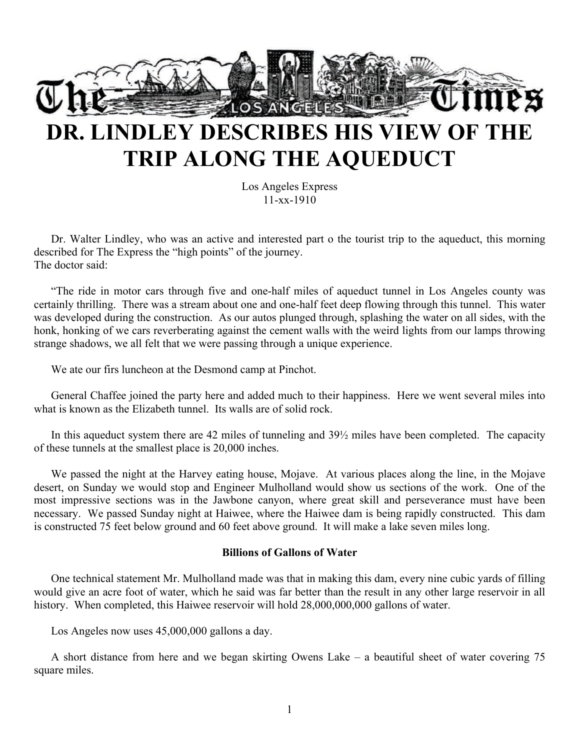

## **DR. LINDLEY DESCRIBES HIS VIEW OF THE TRIP ALONG THE AQUEDUCT**

Los Angeles Express 11-xx-1910

Dr. Walter Lindley, who was an active and interested part o the tourist trip to the aqueduct, this morning described for The Express the "high points" of the journey. The doctor said:

"The ride in motor cars through five and one-half miles of aqueduct tunnel in Los Angeles county was certainly thrilling. There was a stream about one and one-half feet deep flowing through this tunnel. This water was developed during the construction. As our autos plunged through, splashing the water on all sides, with the honk, honking of we cars reverberating against the cement walls with the weird lights from our lamps throwing strange shadows, we all felt that we were passing through a unique experience.

We ate our firs luncheon at the Desmond camp at Pinchot.

General Chaffee joined the party here and added much to their happiness. Here we went several miles into what is known as the Elizabeth tunnel. Its walls are of solid rock.

In this aqueduct system there are 42 miles of tunneling and  $39\frac{1}{2}$  miles have been completed. The capacity of these tunnels at the smallest place is 20,000 inches.

We passed the night at the Harvey eating house, Mojave. At various places along the line, in the Mojave desert, on Sunday we would stop and Engineer Mulholland would show us sections of the work. One of the most impressive sections was in the Jawbone canyon, where great skill and perseverance must have been necessary. We passed Sunday night at Haiwee, where the Haiwee dam is being rapidly constructed. This dam is constructed 75 feet below ground and 60 feet above ground. It will make a lake seven miles long.

## **Billions of Gallons of Water**

One technical statement Mr. Mulholland made was that in making this dam, every nine cubic yards of filling would give an acre foot of water, which he said was far better than the result in any other large reservoir in all history. When completed, this Haiwee reservoir will hold 28,000,000,000 gallons of water.

Los Angeles now uses 45,000,000 gallons a day.

A short distance from here and we began skirting Owens Lake – a beautiful sheet of water covering 75 square miles.